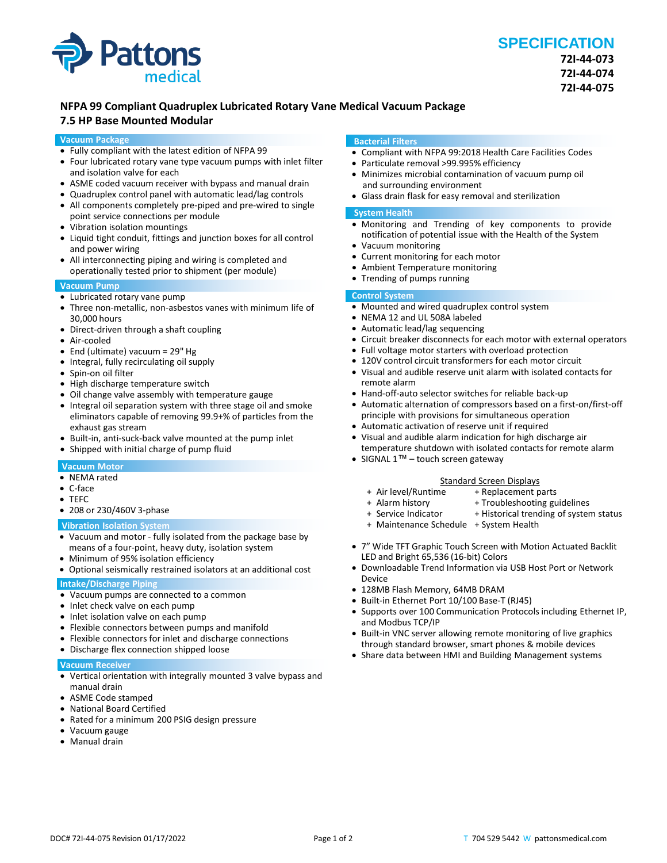

# **NFPA 99 Compliant Quadruplex Lubricated Rotary Vane Medical Vacuum Package**

# **7.5 HP Base Mounted Modular**

### **Vacuum Package**

- Fully compliant with the latest edition of NFPA 99
- Four lubricated rotary vane type vacuum pumps with inlet filter and isolation valve for each
- ASME coded vacuum receiver with bypass and manual drain
- Quadruplex control panel with automatic lead/lag controls
- All components completely pre-piped and pre-wired to single point service connections per module
- Vibration isolation mountings
- Liquid tight conduit, fittings and junction boxes for all control and power wiring
- All interconnecting piping and wiring is completed and operationally tested prior to shipment (per module)

### **Vacuum Pump**

- Lubricated rotary vane pump
- Three non-metallic, non-asbestos vanes with minimum life of 30,000 hours
- Direct-driven through a shaft coupling
- Air-cooled
- End (ultimate) vacuum = 29" Hg
- Integral, fully recirculating oil supply
- Spin-on oil filter
- High discharge temperature switch
- Oil change valve assembly with temperature gauge
- Integral oil separation system with three stage oil and smoke eliminators capable of removing 99.9+% of particles from the exhaust gas stream
- Built-in, anti-suck-back valve mounted at the pump inlet
- Shipped with initial charge of pump fluid

# **Vacuum Motor**

- NEMA rated
- C-face
- TEFC
- 208 or 230/460V 3-phase

### **Vibration Isolation System**

- Vacuum and motor fully isolated from the package base by means of a four-point, heavy duty, isolation system
- Minimum of 95% isolation efficiency
- Optional seismically restrained isolators at an additional cost

# **Intake/Discharge Piping**

- Vacuum pumps are connected to a common
- Inlet check valve on each pump
- Inlet isolation valve on each pump
- Flexible connectors between pumps and manifold
- Flexible connectors for inlet and discharge connections
- Discharge flex connection shipped loose

#### **Vacuum Receiver**

- Vertical orientation with integrally mounted 3 valve bypass and manual drain
- ASME Code stamped
- National Board Certified
- Rated for a minimum 200 PSIG design pressure
- Vacuum gauge
- Manual drain

### **Bacterial Filters**

- Compliant with NFPA 99:2018 Health Care Facilities Codes
- Particulate removal >99.995% efficiency
- Minimizes microbial contamination of vacuum pump oil and surrounding environment
- Glass drain flask for easy removal and sterilization

### **System Health**

- Monitoring and Trending of key components to provide notification of potential issue with the Health of the System
- Vacuum monitoring
- Current monitoring for each motor
- Ambient Temperature monitoring
- Trending of pumps running

# **Control System**

- Mounted and wired quadruplex control system
- NEMA 12 and UL 508A labeled
- Automatic lead/lag sequencing
- Circuit breaker disconnects for each motor with external operators
- Full voltage motor starters with overload protection
- 120V control circuit transformers for each motor circuit
- Visual and audible reserve unit alarm with isolated contacts for remote alarm
- Hand-off-auto selector switches for reliable back-up
- Automatic alternation of compressors based on a first-on/first-off principle with provisions for simultaneous operation
- Automatic activation of reserve unit if required
- Visual and audible alarm indication for high discharge air temperature shutdown with isolated contacts for remote alarm
- SIGNAL 1™ touch screen gateway

#### Standard Screen Displays<br>Air level/Runtime + Replacement p + + Replacement parts

- 
- 
- + Alarm history + Troubleshooting guidelines<br>+ Service Indicator + Historical trending of syster + Historical trending of system status
- 
- + Maintenance Schedule + System Health
- 7" Wide TFT Graphic Touch Screen with Motion Actuated Backlit LED and Bright 65,536 (16-bit) Colors
- Downloadable Trend Information via USB Host Port or Network Device
- 128MB Flash Memory, 64MB DRAM
- Built-in Ethernet Port 10/100 Base-T (RJ45)
- Supports over 100 Communication Protocols including Ethernet IP, and Modbus TCP/IP
- Built-in VNC server allowing remote monitoring of live graphics through standard browser, smart phones & mobile devices
- Share data between HMI and Building Management systems